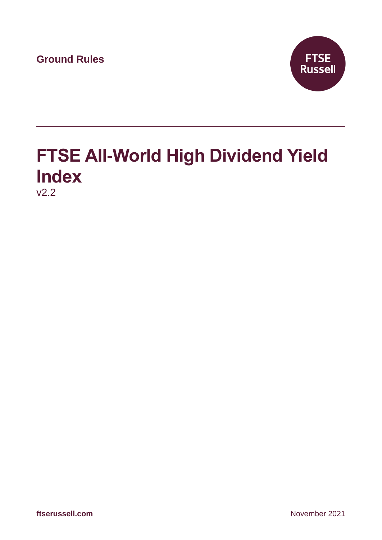**Ground Rules**



# **FTSE All-World High Dividend Yield Index** v2.2

**ftserussell.com** November 2021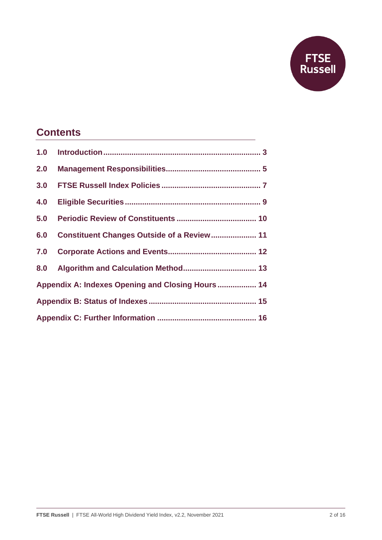

# **Contents**

| 1.0                                               |                                            |  |  |
|---------------------------------------------------|--------------------------------------------|--|--|
| 2.0                                               |                                            |  |  |
| 3.0                                               |                                            |  |  |
| 4.0                                               |                                            |  |  |
| 5.0                                               |                                            |  |  |
| 6.0                                               | Constituent Changes Outside of a Review 11 |  |  |
| 7.0                                               |                                            |  |  |
| 8.0                                               |                                            |  |  |
| Appendix A: Indexes Opening and Closing Hours  14 |                                            |  |  |
|                                                   |                                            |  |  |
|                                                   |                                            |  |  |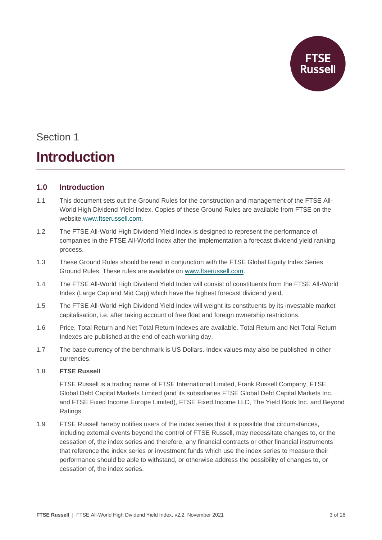

# **Introduction**

# **1.0 Introduction**

- 1.1 This document sets out the Ground Rules for the construction and management of the FTSE All-World High Dividend Yield Index. Copies of these Ground Rules are available from FTSE on the website [www.ftserussell.com.](http://www.ftserussell.com/)
- 1.2 The FTSE All-World High Dividend Yield Index is designed to represent the performance of companies in the FTSE All-World Index after the implementation a forecast dividend yield ranking process.
- 1.3 These Ground Rules should be read in conjunction with the FTSE Global Equity Index Series Ground Rules. These rules are available on [www.ftserussell.com.](http://www.ftserussell.com/)
- 1.4 The FTSE All-World High Dividend Yield Index will consist of constituents from the FTSE All-World Index (Large Cap and Mid Cap) which have the highest forecast dividend yield.
- 1.5 The FTSE All-World High Dividend Yield Index will weight its constituents by its investable market capitalisation, i.e. after taking account of free float and foreign ownership restrictions.
- 1.6 Price, Total Return and Net Total Return Indexes are available. Total Return and Net Total Return Indexes are published at the end of each working day.
- 1.7 The base currency of the benchmark is US Dollars. Index values may also be published in other currencies.

### 1.8 **FTSE Russell**

FTSE Russell is a trading name of FTSE International Limited, Frank Russell Company, FTSE Global Debt Capital Markets Limited (and its subsidiaries FTSE Global Debt Capital Markets Inc. and FTSE Fixed Income Europe Limited), FTSE Fixed Income LLC, The Yield Book Inc. and Beyond Ratings.

1.9 FTSE Russell hereby notifies users of the index series that it is possible that circumstances, including external events beyond the control of FTSE Russell, may necessitate changes to, or the cessation of, the index series and therefore, any financial contracts or other financial instruments that reference the index series or investment funds which use the index series to measure their performance should be able to withstand, or otherwise address the possibility of changes to, or cessation of, the index series.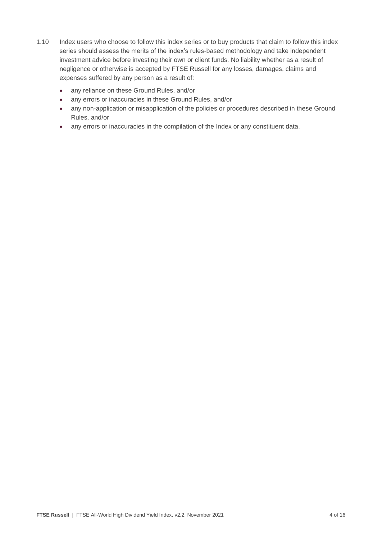- 1.10 Index users who choose to follow this index series or to buy products that claim to follow this index series should assess the merits of the index's rules-based methodology and take independent investment advice before investing their own or client funds. No liability whether as a result of negligence or otherwise is accepted by FTSE Russell for any losses, damages, claims and expenses suffered by any person as a result of:
	- any reliance on these Ground Rules, and/or
	- any errors or inaccuracies in these Ground Rules, and/or
	- any non-application or misapplication of the policies or procedures described in these Ground Rules, and/or
	- any errors or inaccuracies in the compilation of the Index or any constituent data.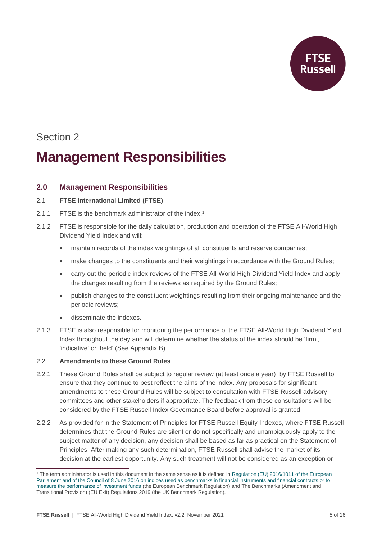

# **Management Responsibilities**

## **2.0 Management Responsibilities**

### 2.1 **FTSE International Limited (FTSE)**

- 2.1.1 FTSE is the benchmark administrator of the index.<sup>1</sup>
- 2.1.2 FTSE is responsible for the daily calculation, production and operation of the FTSE All-World High Dividend Yield Index and will:
	- maintain records of the index weightings of all constituents and reserve companies;
	- make changes to the constituents and their weightings in accordance with the Ground Rules;
	- carry out the periodic index reviews of the FTSE All-World High Dividend Yield Index and apply the changes resulting from the reviews as required by the Ground Rules;
	- publish changes to the constituent weightings resulting from their ongoing maintenance and the periodic reviews;
	- disseminate the indexes.
- 2.1.3 FTSE is also responsible for monitoring the performance of the FTSE All-World High Dividend Yield Index throughout the day and will determine whether the status of the index should be 'firm', 'indicative' or 'held' (See Appendix B).

## 2.2 **Amendments to these Ground Rules**

- 2.2.1 These Ground Rules shall be subject to regular review (at least once a year) by FTSE Russell to ensure that they continue to best reflect the aims of the index. Any proposals for significant amendments to these Ground Rules will be subject to consultation with FTSE Russell advisory committees and other stakeholders if appropriate. The feedback from these consultations will be considered by the FTSE Russell Index Governance Board before approval is granted.
- 2.2.2 As provided for in the Statement of Principles for FTSE Russell Equity Indexes, where FTSE Russell determines that the Ground Rules are silent or do not specifically and unambiguously apply to the subject matter of any decision, any decision shall be based as far as practical on the Statement of Principles. After making any such determination, FTSE Russell shall advise the market of its decision at the earliest opportunity. Any such treatment will not be considered as an exception or

<sup>&</sup>lt;sup>1</sup> The term administrator is used in this document in the same sense as it is defined in Regulation (EU) 2016/1011 of the European Parliament and of the Council of [8 June 2016 on indices used as benchmarks in financial instruments and financial contracts or to](http://eur-lex.europa.eu/legal-content/EN/TXT/PDF/?uri=CELEX:32016R1011&from=EN)  [measure the performance of investment funds](http://eur-lex.europa.eu/legal-content/EN/TXT/PDF/?uri=CELEX:32016R1011&from=EN) (the European Benchmark Regulation) and The Benchmarks (Amendment and Transitional Provision) (EU Exit) Regulations 2019 (the UK Benchmark Regulation).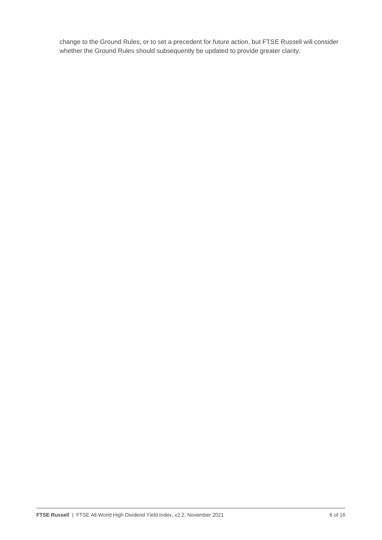change to the Ground Rules, or to set a precedent for future action, but FTSE Russell will consider whether the Ground Rules should subsequently be updated to provide greater clarity.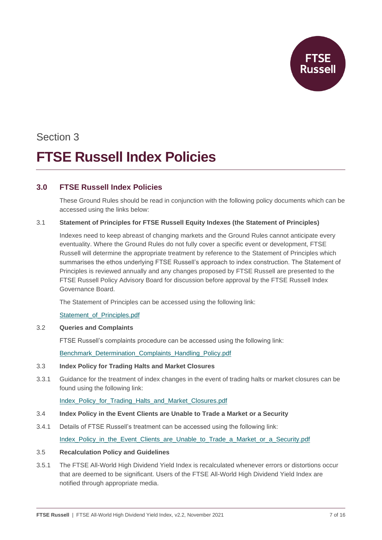

# Section 3 **FTSE Russell Index Policies**

# **3.0 FTSE Russell Index Policies**

These Ground Rules should be read in conjunction with the following policy documents which can be accessed using the links below:

### 3.1 **Statement of Principles for FTSE Russell Equity Indexes (the Statement of Principles)**

Indexes need to keep abreast of changing markets and the Ground Rules cannot anticipate every eventuality. Where the Ground Rules do not fully cover a specific event or development, FTSE Russell will determine the appropriate treatment by reference to the Statement of Principles which summarises the ethos underlying FTSE Russell's approach to index construction. The Statement of Principles is reviewed annually and any changes proposed by FTSE Russell are presented to the FTSE Russell Policy Advisory Board for discussion before approval by the FTSE Russell Index Governance Board.

The Statement of Principles can be accessed using the following link:

### [Statement\\_of\\_Principles.pdf](https://research.ftserussell.com/products/downloads/Statement_of_Principles.pdf)

### 3.2 **Queries and Complaints**

FTSE Russell's complaints procedure can be accessed using the following link:

[Benchmark\\_Determination\\_Complaints\\_Handling\\_Policy.pdf](https://research.ftserussell.com/products/downloads/FTSE_Russell_Benchmark_Determination_Complaints-Handling_Policy.pdf?_ga=2.149750192.764712885.1603104151-1548400649.1593679882)

### 3.3 **Index Policy for Trading Halts and Market Closures**

3.3.1 Guidance for the treatment of index changes in the event of trading halts or market closures can be found using the following link:

[Index\\_Policy\\_for\\_Trading\\_Halts\\_and\\_Market\\_Closures.pdf](https://research.ftserussell.com/products/downloads/FTSE_Russell_Index_Policy_for_Trading_Halts_and_Market_Closures.pdf)

### 3.4 **Index Policy in the Event Clients are Unable to Trade a Market or a Security**

3.4.1 Details of FTSE Russell's treatment can be accessed using the following link:

[Index\\_Policy\\_in\\_the\\_Event\\_Clients\\_are\\_Unable\\_to\\_Trade\\_a\\_Market\\_or\\_a\\_Security.pdf](https://research.ftserussell.com/products/downloads/FTSE_Russell_Index_Policy_in_the_Event_Clients_are_Unable_to_Trade_a_Market_or_a_Security.pdf)

### 3.5 **Recalculation Policy and Guidelines**

3.5.1 The FTSE All-World High Dividend Yield Index is recalculated whenever errors or distortions occur that are deemed to be significant. Users of the FTSE All-World High Dividend Yield Index are notified through appropriate media.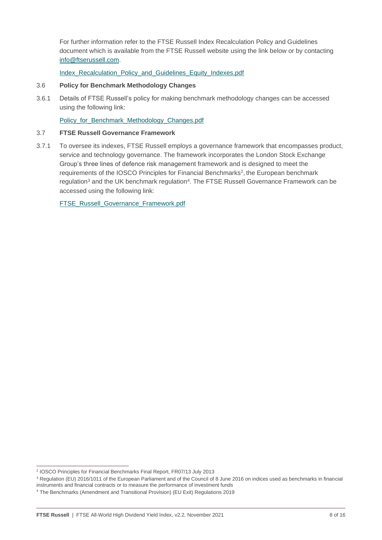For further information refer to the FTSE Russell Index Recalculation Policy and Guidelines document which is available from the FTSE Russell website using the link below or by contacting [info@ftserussell.com.](mailto:info@ftserussell.com)

[Index\\_Recalculation\\_Policy\\_and\\_Guidelines\\_Equity\\_Indexes.pdf](https://research.ftserussell.com/products/downloads/Equity_Index_Recalculation_Policy_and_Guidelines.pdf)

#### 3.6 **Policy for Benchmark Methodology Changes**

3.6.1 Details of FTSE Russell's policy for making benchmark methodology changes can be accessed using the following link:

Policy for Benchmark Methodology Changes.pdf

#### 3.7 **FTSE Russell Governance Framework**

3.7.1 To oversee its indexes, FTSE Russell employs a governance framework that encompasses product, service and technology governance. The framework incorporates the London Stock Exchange Group's three lines of defence risk management framework and is designed to meet the requirements of the IOSCO Principles for Financial Benchmarks<sup>2</sup>, the European benchmark regulation<sup>3</sup> and the UK benchmark regulation<sup>4</sup>. The FTSE Russell Governance Framework can be accessed using the following link:

[FTSE\\_Russell\\_Governance\\_Framework.pdf](https://research.ftserussell.com/products/downloads/FTSE_Russell_Governance_Framework.pdf)

<sup>2</sup> IOSCO Principles for Financial Benchmarks Final Report, FR07/13 July 2013

<sup>&</sup>lt;sup>3</sup> Regulation (EU) 2016/1011 of the European Parliament and of the Council of 8 June 2016 on indices used as benchmarks in financial

instruments and financial contracts or to measure the performance of investment funds

<sup>4</sup> The Benchmarks (Amendment and Transitional Provision) (EU Exit) Regulations 2019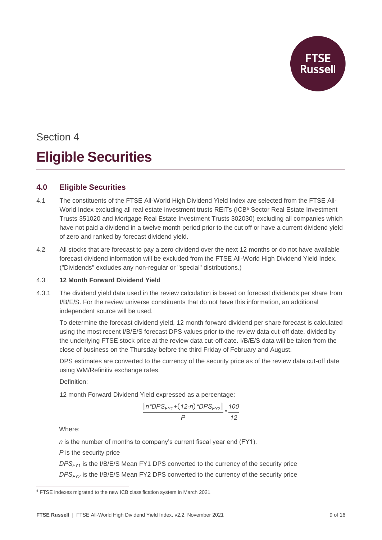

# Section 4 **Eligible Securities**

# **4.0 Eligible Securities**

- 4.1 The constituents of the FTSE All-World High Dividend Yield Index are selected from the FTSE All-World Index excluding all real estate investment trusts REITs (ICB<sup>5</sup> Sector Real Estate Investment Trusts 351020 and Mortgage Real Estate Investment Trusts 302030) excluding all companies which have not paid a dividend in a twelve month period prior to the cut off or have a current dividend yield of zero and ranked by forecast dividend yield.
- 4.2 All stocks that are forecast to pay a zero dividend over the next 12 months or do not have available forecast dividend information will be excluded from the FTSE All-World High Dividend Yield Index. ("Dividends" excludes any non-regular or "special" distributions.)

### 4.3 **12 Month Forward Dividend Yield**

4.3.1 The dividend yield data used in the review calculation is based on forecast dividends per share from I/B/E/S. For the review universe constituents that do not have this information, an additional independent source will be used.

To determine the forecast dividend yield, 12 month forward dividend per share forecast is calculated using the most recent I/B/E/S forecast DPS values prior to the review data cut-off date, divided by the underlying FTSE stock price at the review data cut-off date. I/B/E/S data will be taken from the close of business on the Thursday before the third Friday of February and August.

DPS estimates are converted to the currency of the security price as of the review data cut-off date using WM/Refinitiv exchange rates.

Definition:

12 month Forward Dividend Yield expressed as a percentage:

$$
\frac{[n^*DPS_{FY1}+(12\text{-}n)^*DPS_{FY2}]}{P} * \frac{100}{12}
$$

Where:

*n* is the number of months to company's current fiscal year end (FY1).

*P* is the security price

*DPSFY1* is the I/B/E/S Mean FY1 DPS converted to the currency of the security price *DPSFY2* is the I/B/E/S Mean FY2 DPS converted to the currency of the security price

<sup>5</sup> FTSE indexes migrated to the new ICB classification system in March 2021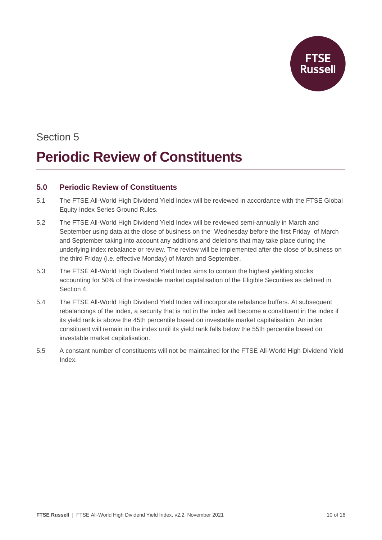

# **Periodic Review of Constituents**

## **5.0 Periodic Review of Constituents**

- 5.1 The FTSE All-World High Dividend Yield Index will be reviewed in accordance with the FTSE Global Equity Index Series Ground Rules.
- 5.2 The FTSE All-World High Dividend Yield Index will be reviewed semi-annually in March and September using data at the close of business on the Wednesday before the first Friday of March and September taking into account any additions and deletions that may take place during the underlying index rebalance or review. The review will be implemented after the close of business on the third Friday (i.e. effective Monday) of March and September.
- 5.3 The FTSE All-World High Dividend Yield Index aims to contain the highest yielding stocks accounting for 50% of the investable market capitalisation of the Eligible Securities as defined in Section 4.
- 5.4 The FTSE All-World High Dividend Yield Index will incorporate rebalance buffers. At subsequent rebalancings of the index, a security that is not in the index will become a constituent in the index if its yield rank is above the 45th percentile based on investable market capitalisation. An index constituent will remain in the index until its yield rank falls below the 55th percentile based on investable market capitalisation.
- 5.5 A constant number of constituents will not be maintained for the FTSE All-World High Dividend Yield Index.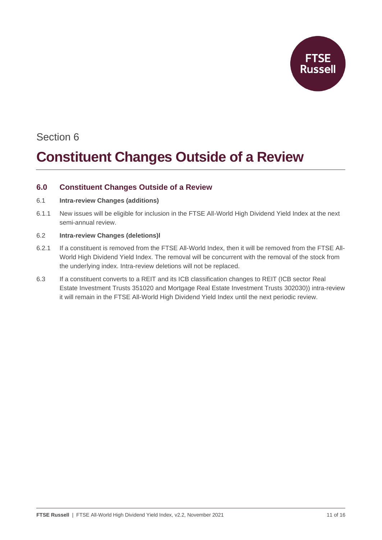

# **Constituent Changes Outside of a Review**

# **6.0 Constituent Changes Outside of a Review**

### 6.1 **Intra-review Changes (additions)**

6.1.1 New issues will be eligible for inclusion in the FTSE All-World High Dividend Yield Index at the next semi-annual review.

## 6.2 **Intra-review Changes (deletions)l**

- 6.2.1 If a constituent is removed from the FTSE All-World Index, then it will be removed from the FTSE All-World High Dividend Yield Index. The removal will be concurrent with the removal of the stock from the underlying index. Intra-review deletions will not be replaced.
- 6.3 If a constituent converts to a REIT and its ICB classification changes to REIT (ICB sector Real Estate Investment Trusts 351020 and Mortgage Real Estate Investment Trusts 302030)) intra-review it will remain in the FTSE All-World High Dividend Yield Index until the next periodic review.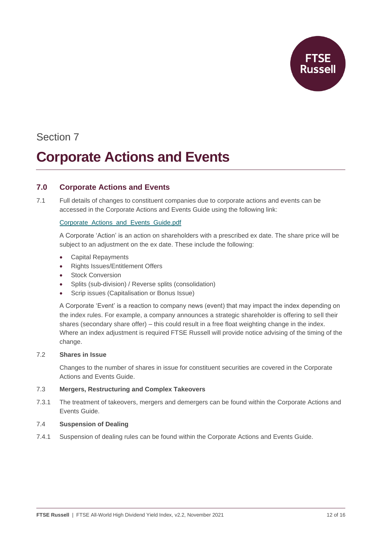

# **Corporate Actions and Events**

## **7.0 Corporate Actions and Events**

7.1 Full details of changes to constituent companies due to corporate actions and events can be accessed in the Corporate Actions and Events Guide using the following link:

## [Corporate\\_Actions\\_and\\_Events\\_Guide.pdf](https://research.ftserussell.com/products/downloads/Corporate_Actions_and_Events_Guide.pdf)

A Corporate 'Action' is an action on shareholders with a prescribed ex date. The share price will be subject to an adjustment on the ex date. These include the following:

- Capital Repayments
- Rights Issues/Entitlement Offers
- **Stock Conversion**
- Splits (sub-division) / Reverse splits (consolidation)
- Scrip issues (Capitalisation or Bonus Issue)

A Corporate 'Event' is a reaction to company news (event) that may impact the index depending on the index rules. For example, a company announces a strategic shareholder is offering to sell their shares (secondary share offer) – this could result in a free float weighting change in the index. Where an index adjustment is required FTSE Russell will provide notice advising of the timing of the change.

### 7.2 **Shares in Issue**

Changes to the number of shares in issue for constituent securities are covered in the Corporate Actions and Events Guide.

### 7.3 **Mergers, Restructuring and Complex Takeovers**

7.3.1 The treatment of takeovers, mergers and demergers can be found within the Corporate Actions and Events Guide.

### 7.4 **Suspension of Dealing**

7.4.1 Suspension of dealing rules can be found within the Corporate Actions and Events Guide.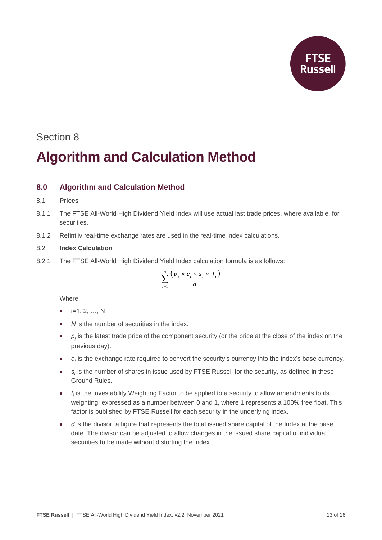

# Section 8 **Algorithm and Calculation Method**

# **8.0 Algorithm and Calculation Method**

#### 8.1 **Prices**

- 8.1.1 The FTSE All-World High Dividend Yield Index will use actual last trade prices, where available, for securities.
- 8.1.2 Refintiiv real-time exchange rates are used in the real-time index calculations.

### 8.2 **Index Calculation**

8.2.1 The FTSE All-World High Dividend Yield Index calculation formula is as follows:

$$
\sum_{i=1}^{N} \frac{\left(p_i \times e_i \times s_i \times f_i\right)}{d}
$$

Where,

- $\bullet$  i=1, 2, ..., N
- *N* is the number of securities in the index.
- $\bullet$   $p_i$  is the latest trade price of the component security (or the price at the close of the index on the previous day).
- *e<sup>i</sup>* is the exchange rate required to convert the security's currency into the index's base currency.
- *s<sup>i</sup>* is the number of shares in issue used by FTSE Russell for the security, as defined in these Ground Rules.
- *f<sup>i</sup>*  $f_i$  is the Investability Weighting Factor to be applied to a security to allow amendments to its weighting, expressed as a number between 0 and 1, where 1 represents a 100% free float. This factor is published by FTSE Russell for each security in the underlying index.
- d is the divisor, a figure that represents the total issued share capital of the Index at the base date. The divisor can be adjusted to allow changes in the issued share capital of individual securities to be made without distorting the index.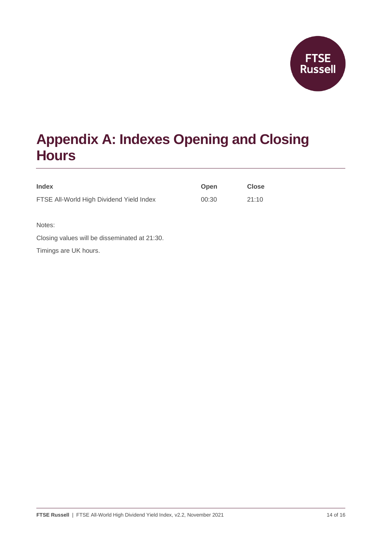

# **Appendix A: Indexes Opening and Closing Hours**

| <b>Index</b>                             | <b>Open</b> | <b>Close</b> |
|------------------------------------------|-------------|--------------|
| FTSE All-World High Dividend Yield Index | 00:30       | 21:10        |
|                                          |             |              |

Notes:

Closing values will be disseminated at 21:30.

Timings are UK hours.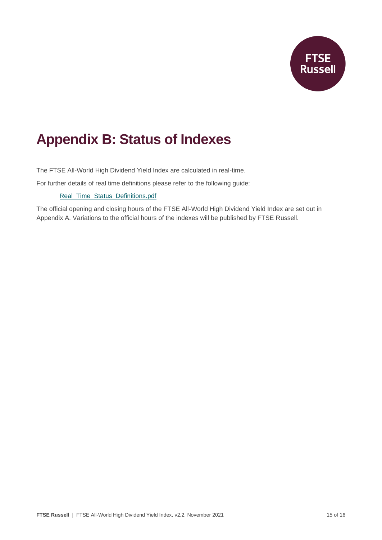

# **Appendix B: Status of Indexes**

The FTSE All-World High Dividend Yield Index are calculated in real-time.

For further details of real time definitions please refer to the following guide:

### [Real\\_Time\\_Status\\_Definitions.pdf](https://research.ftserussell.com/products/downloads/Real_Time_Status_Definitions.pdf)

The official opening and closing hours of the FTSE All-World High Dividend Yield Index are set out in Appendix A. Variations to the official hours of the indexes will be published by FTSE Russell.